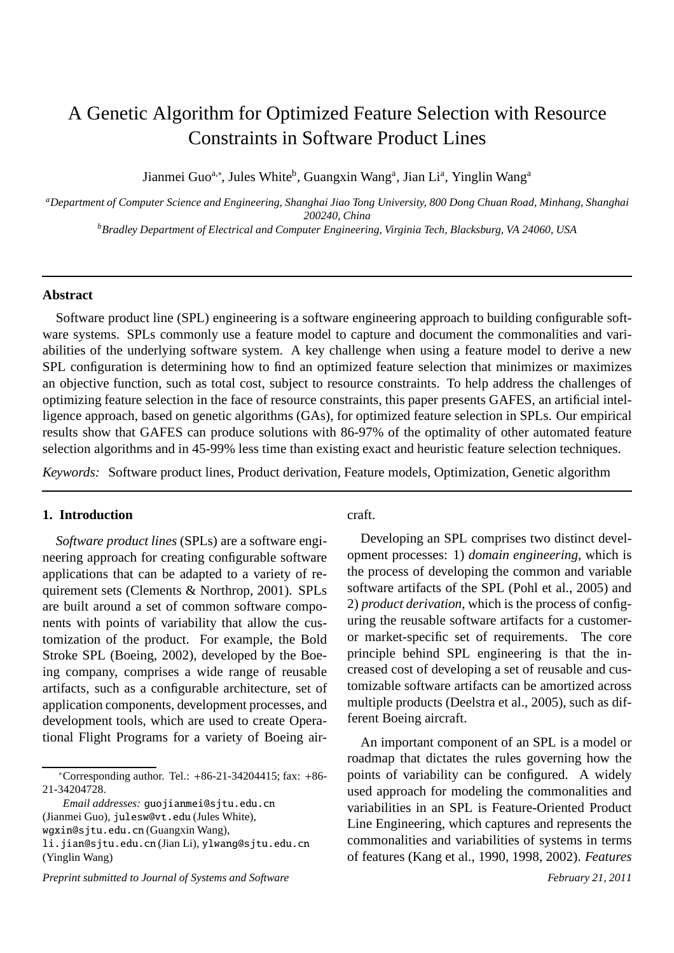# A Genetic Algorithm for Optimized Feature Selection with Resource Constraints in Software Product Lines

Jianmei Guo<sup>a,∗</sup>, Jules White<sup>b</sup>, Guangxin Wang<sup>a</sup>, Jian Li<sup>a</sup>, Yinglin Wang<sup>a</sup>

*<sup>a</sup>Department of Computer Science and Engineering, Shanghai Jiao Tong University, 800 Dong Chuan Road, Minhang, Shanghai 200240, China*

*<sup>b</sup>Bradley Department of Electrical and Computer Engineering, Virginia Tech, Blacksburg, VA 24060, USA*

#### **Abstract**

Software product line (SPL) engineering is a software engineering approach to building configurable software systems. SPLs commonly use a feature model to capture and document the commonalities and variabilities of the underlying software system. A key challenge when using a feature model to derive a new SPL configuration is determining how to find an optimized feature selection that minimizes or maximizes an objective function, such as total cost, subject to resource constraints. To help address the challenges of optimizing feature selection in the face of resource constraints, this paper presents GAFES, an artificial intelligence approach, based on genetic algorithms (GAs), for optimized feature selection in SPLs. Our empirical results show that GAFES can produce solutions with 86-97% of the optimality of other automated feature selection algorithms and in 45-99% less time than existing exact and heuristic feature selection techniques.

*Keywords:* Software product lines, Product derivation, Feature models, Optimization, Genetic algorithm

# **1. Introduction**

*Software product lines* (SPLs) are a software engineering approach for creating configurable software applications that can be adapted to a variety of requirement sets (Clements & Northrop, 2001). SPLs are built around a set of common software components with points of variability that allow the customization of the product. For example, the Bold Stroke SPL (Boeing, 2002), developed by the Boeing company, comprises a wide range of reusable artifacts, such as a configurable architecture, set of application components, development processes, and development tools, which are used to create Operational Flight Programs for a variety of Boeing aircraft.

Developing an SPL comprises two distinct development processes: 1) *domain engineering*, which is the process of developing the common and variable software artifacts of the SPL (Pohl et al., 2005) and 2) *product derivation*, which is the process of configuring the reusable software artifacts for a customeror market-specific set of requirements. The core principle behind SPL engineering is that the increased cost of developing a set of reusable and customizable software artifacts can be amortized across multiple products (Deelstra et al., 2005), such as different Boeing aircraft.

An important component of an SPL is a model or roadmap that dictates the rules governing how the points of variability can be configured. A widely used approach for modeling the commonalities and variabilities in an SPL is Feature-Oriented Product Line Engineering, which captures and represents the commonalities and variabilities of systems in terms of features (Kang et al., 1990, 1998, 2002). *Features*

<sup>∗</sup>Corresponding author. Tel.: +86-21-34204415; fax: +86- 21-34204728.

*Email addresses:* guojianmei@sjtu.edu.cn (Jianmei Guo), julesw@vt.edu (Jules White),

wgxin@sjtu.edu.cn (Guangxin Wang),

li.jian@sjtu.edu.cn (Jian Li), ylwang@sjtu.edu.cn (Yinglin Wang)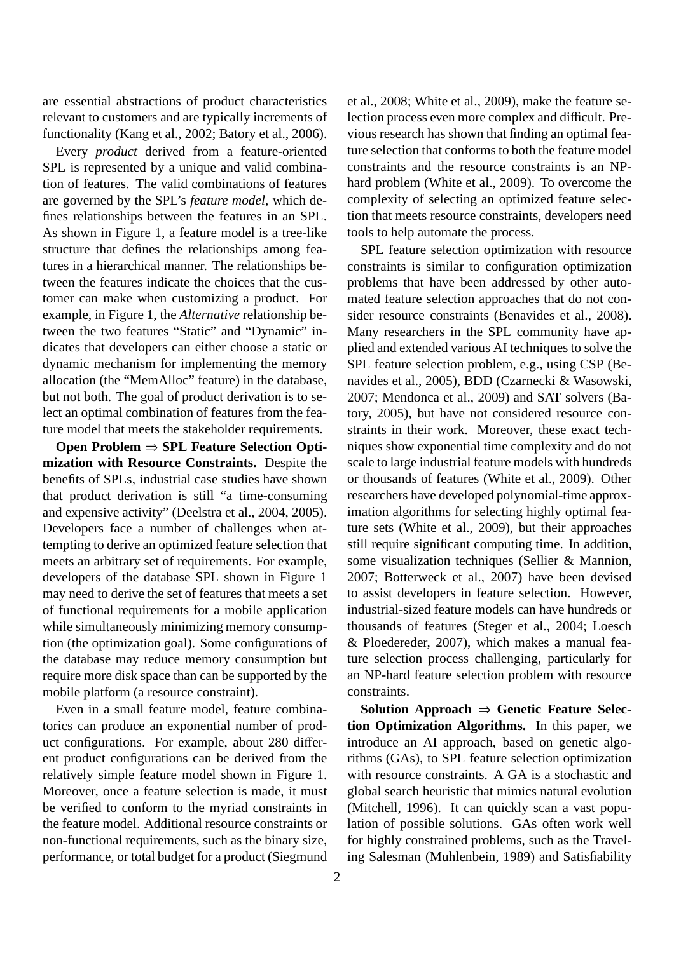are essential abstractions of product characteristics relevant to customers and are typically increments of functionality (Kang et al., 2002; Batory et al., 2006).

Every *product* derived from a feature-oriented SPL is represented by a unique and valid combination of features. The valid combinations of features are governed by the SPL's *feature model*, which defines relationships between the features in an SPL. As shown in Figure 1, a feature model is a tree-like structure that defines the relationships among features in a hierarchical manner. The relationships between the features indicate the choices that the customer can make when customizing a product. For example, in Figure 1, the *Alternative* relationship between the two features "Static" and "Dynamic" indicates that developers can either choose a static or dynamic mechanism for implementing the memory allocation (the "MemAlloc" feature) in the database, but not both. The goal of product derivation is to select an optimal combination of features from the feature model that meets the stakeholder requirements.

**Open Problem** ⇒ **SPL Feature Selection Optimization with Resource Constraints.** Despite the benefits of SPLs, industrial case studies have shown that product derivation is still "a time-consuming and expensive activity" (Deelstra et al., 2004, 2005). Developers face a number of challenges when attempting to derive an optimized feature selection that meets an arbitrary set of requirements. For example, developers of the database SPL shown in Figure 1 may need to derive the set of features that meets a set of functional requirements for a mobile application while simultaneously minimizing memory consumption (the optimization goal). Some configurations of the database may reduce memory consumption but require more disk space than can be supported by the mobile platform (a resource constraint).

Even in a small feature model, feature combinatorics can produce an exponential number of product configurations. For example, about 280 different product configurations can be derived from the relatively simple feature model shown in Figure 1. Moreover, once a feature selection is made, it must be verified to conform to the myriad constraints in the feature model. Additional resource constraints or non-functional requirements, such as the binary size, performance, or total budget for a product (Siegmund

et al., 2008; White et al., 2009), make the feature selection process even more complex and difficult. Previous research has shown that finding an optimal feature selection that conforms to both the feature model constraints and the resource constraints is an NPhard problem (White et al., 2009). To overcome the complexity of selecting an optimized feature selection that meets resource constraints, developers need tools to help automate the process.

SPL feature selection optimization with resource constraints is similar to configuration optimization problems that have been addressed by other automated feature selection approaches that do not consider resource constraints (Benavides et al., 2008). Many researchers in the SPL community have applied and extended various AI techniques to solve the SPL feature selection problem, e.g., using CSP (Benavides et al., 2005), BDD (Czarnecki & Wasowski, 2007; Mendonca et al., 2009) and SAT solvers (Batory, 2005), but have not considered resource constraints in their work. Moreover, these exact techniques show exponential time complexity and do not scale to large industrial feature models with hundreds or thousands of features (White et al., 2009). Other researchers have developed polynomial-time approximation algorithms for selecting highly optimal feature sets (White et al., 2009), but their approaches still require significant computing time. In addition, some visualization techniques (Sellier & Mannion, 2007; Botterweck et al., 2007) have been devised to assist developers in feature selection. However, industrial-sized feature models can have hundreds or thousands of features (Steger et al., 2004; Loesch & Ploedereder, 2007), which makes a manual feature selection process challenging, particularly for an NP-hard feature selection problem with resource constraints.

**Solution Approach** ⇒ **Genetic Feature Selection Optimization Algorithms.** In this paper, we introduce an AI approach, based on genetic algorithms (GAs), to SPL feature selection optimization with resource constraints. A GA is a stochastic and global search heuristic that mimics natural evolution (Mitchell, 1996). It can quickly scan a vast population of possible solutions. GAs often work well for highly constrained problems, such as the Traveling Salesman (Muhlenbein, 1989) and Satisfiability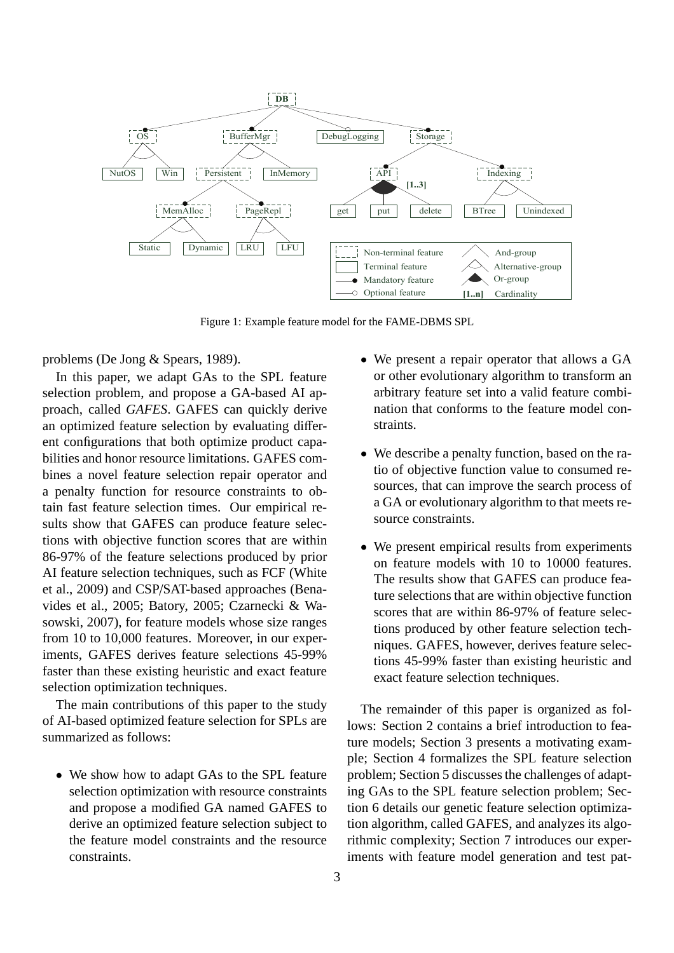

Figure 1: Example feature model for the FAME-DBMS SPL

problems (De Jong & Spears, 1989).

In this paper, we adapt GAs to the SPL feature selection problem, and propose a GA-based AI approach, called *GAFES*. GAFES can quickly derive an optimized feature selection by evaluating different configurations that both optimize product capabilities and honor resource limitations. GAFES combines a novel feature selection repair operator and a penalty function for resource constraints to obtain fast feature selection times. Our empirical results show that GAFES can produce feature selections with objective function scores that are within 86-97% of the feature selections produced by prior AI feature selection techniques, such as FCF (White et al., 2009) and CSP/SAT-based approaches (Benavides et al., 2005; Batory, 2005; Czarnecki & Wasowski, 2007), for feature models whose size ranges from 10 to 10,000 features. Moreover, in our experiments, GAFES derives feature selections 45-99% faster than these existing heuristic and exact feature selection optimization techniques.

The main contributions of this paper to the study of AI-based optimized feature selection for SPLs are summarized as follows:

• We show how to adapt GAs to the SPL feature selection optimization with resource constraints and propose a modified GA named GAFES to derive an optimized feature selection subject to the feature model constraints and the resource constraints.

- We present a repair operator that allows a GA or other evolutionary algorithm to transform an arbitrary feature set into a valid feature combination that conforms to the feature model constraints.
- We describe a penalty function, based on the ratio of objective function value to consumed resources, that can improve the search process of a GA or evolutionary algorithm to that meets resource constraints.
- We present empirical results from experiments on feature models with 10 to 10000 features. The results show that GAFES can produce feature selections that are within objective function scores that are within 86-97% of feature selections produced by other feature selection techniques. GAFES, however, derives feature selections 45-99% faster than existing heuristic and exact feature selection techniques.

The remainder of this paper is organized as follows: Section 2 contains a brief introduction to feature models; Section 3 presents a motivating example; Section 4 formalizes the SPL feature selection problem; Section 5 discusses the challenges of adapting GAs to the SPL feature selection problem; Section 6 details our genetic feature selection optimization algorithm, called GAFES, and analyzes its algorithmic complexity; Section 7 introduces our experiments with feature model generation and test pat-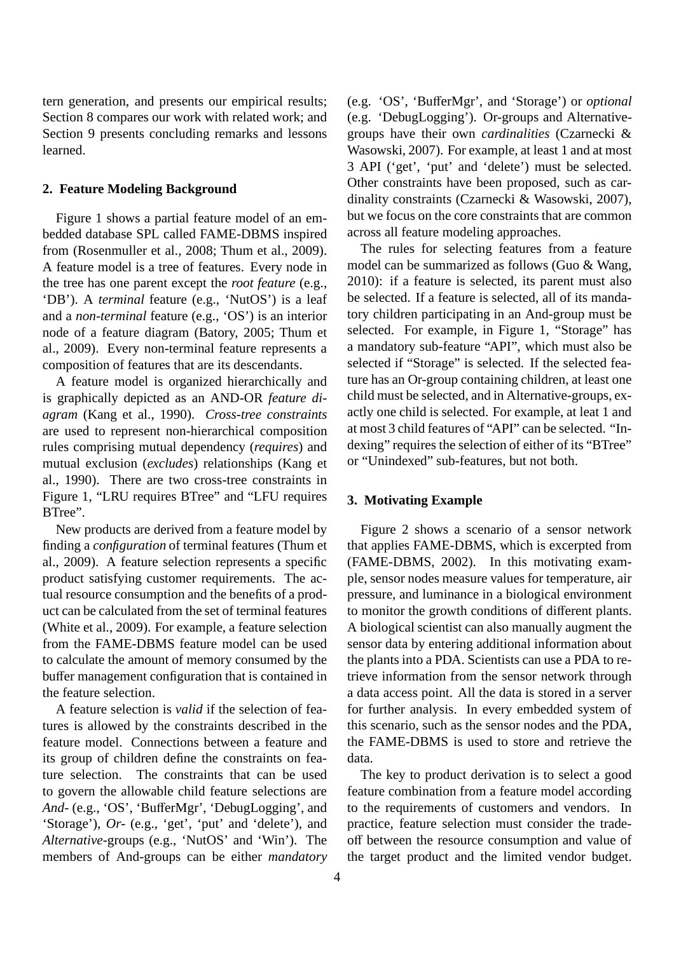tern generation, and presents our empirical results; Section 8 compares our work with related work; and Section 9 presents concluding remarks and lessons learned.

#### **2. Feature Modeling Background**

Figure 1 shows a partial feature model of an embedded database SPL called FAME-DBMS inspired from (Rosenmuller et al., 2008; Thum et al., 2009). A feature model is a tree of features. Every node in the tree has one parent except the *root feature* (e.g., 'DB'). A *terminal* feature (e.g., 'NutOS') is a leaf and a *non-terminal* feature (e.g., 'OS') is an interior node of a feature diagram (Batory, 2005; Thum et al., 2009). Every non-terminal feature represents a composition of features that are its descendants.

A feature model is organized hierarchically and is graphically depicted as an AND-OR *feature diagram* (Kang et al., 1990). *Cross-tree constraints* are used to represent non-hierarchical composition rules comprising mutual dependency (*requires*) and mutual exclusion (*excludes*) relationships (Kang et al., 1990). There are two cross-tree constraints in Figure 1, "LRU requires BTree" and "LFU requires BTree".

New products are derived from a feature model by finding a *configuration* of terminal features (Thum et al., 2009). A feature selection represents a specific product satisfying customer requirements. The actual resource consumption and the benefits of a product can be calculated from the set of terminal features (White et al., 2009). For example, a feature selection from the FAME-DBMS feature model can be used to calculate the amount of memory consumed by the buffer management configuration that is contained in the feature selection.

A feature selection is *valid* if the selection of features is allowed by the constraints described in the feature model. Connections between a feature and its group of children define the constraints on feature selection. The constraints that can be used to govern the allowable child feature selections are *And-* (e.g., 'OS', 'BufferMgr', 'DebugLogging', and 'Storage'), *Or-* (e.g., 'get', 'put' and 'delete'), and *Alternative-*groups (e.g., 'NutOS' and 'Win'). The members of And-groups can be either *mandatory*

(e.g. 'OS', 'BufferMgr', and 'Storage') or *optional* (e.g. 'DebugLogging'). Or-groups and Alternativegroups have their own *cardinalities* (Czarnecki & Wasowski, 2007). For example, at least 1 and at most 3 API ('get', 'put' and 'delete') must be selected. Other constraints have been proposed, such as cardinality constraints (Czarnecki & Wasowski, 2007), but we focus on the core constraints that are common across all feature modeling approaches.

The rules for selecting features from a feature model can be summarized as follows (Guo & Wang, 2010): if a feature is selected, its parent must also be selected. If a feature is selected, all of its mandatory children participating in an And-group must be selected. For example, in Figure 1, "Storage" has a mandatory sub-feature "API", which must also be selected if "Storage" is selected. If the selected feature has an Or-group containing children, at least one child must be selected, and in Alternative-groups, exactly one child is selected. For example, at leat 1 and at most 3 child features of "API" can be selected. "Indexing" requires the selection of either of its "BTree" or "Unindexed" sub-features, but not both.

#### **3. Motivating Example**

Figure 2 shows a scenario of a sensor network that applies FAME-DBMS, which is excerpted from (FAME-DBMS, 2002). In this motivating example, sensor nodes measure values for temperature, air pressure, and luminance in a biological environment to monitor the growth conditions of different plants. A biological scientist can also manually augment the sensor data by entering additional information about the plants into a PDA. Scientists can use a PDA to retrieve information from the sensor network through a data access point. All the data is stored in a server for further analysis. In every embedded system of this scenario, such as the sensor nodes and the PDA, the FAME-DBMS is used to store and retrieve the data.

The key to product derivation is to select a good feature combination from a feature model according to the requirements of customers and vendors. In practice, feature selection must consider the tradeoff between the resource consumption and value of the target product and the limited vendor budget.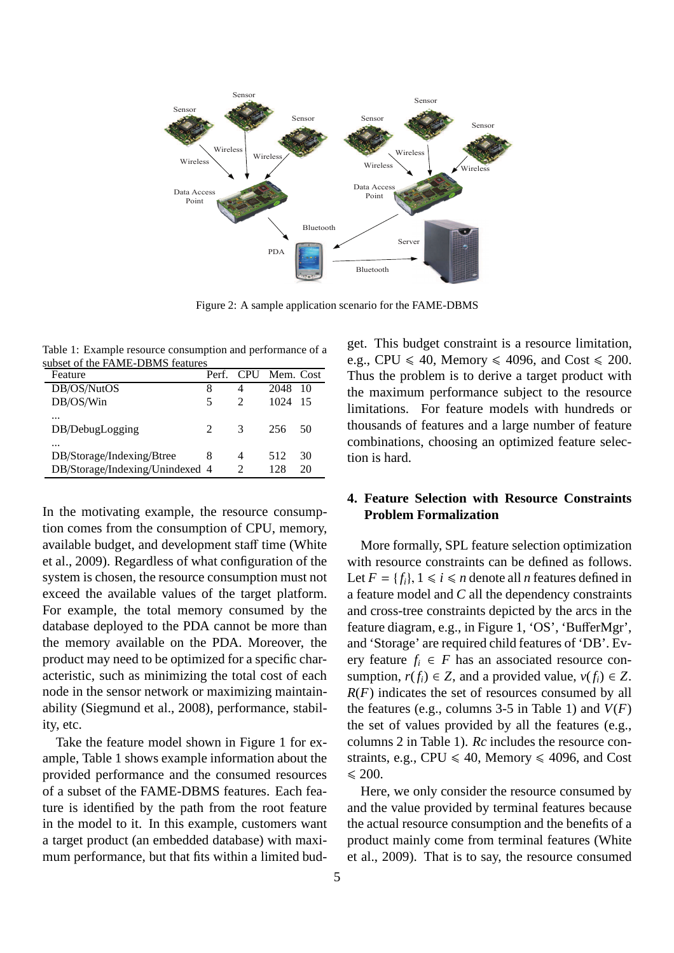

Figure 2: A sample application scenario for the FAME-DBMS

Table 1: Example resource consumption and performance of a subset of the FAME-DBMS features

| Feature                         |               |   | Perf. CPU Mem. Cost |    |
|---------------------------------|---------------|---|---------------------|----|
| DB/OS/NutOS                     | 8             | 4 | 2048                | 10 |
| DB/OS/Win                       | 5             |   | 1024                | 15 |
|                                 |               |   |                     |    |
| DB/DebugLogging                 | $\mathcal{L}$ | 3 | 256                 | 50 |
|                                 |               |   |                     |    |
| DB/Storage/Indexing/Btree       | 8             | 4 | 512                 | 30 |
| DB/Storage/Indexing/Unindexed 4 |               | 2 | 128                 | 20 |

In the motivating example, the resource consumption comes from the consumption of CPU, memory, available budget, and development staff time (White et al., 2009). Regardless of what configuration of the system is chosen, the resource consumption must not exceed the available values of the target platform. For example, the total memory consumed by the database deployed to the PDA cannot be more than the memory available on the PDA. Moreover, the product may need to be optimized for a specific characteristic, such as minimizing the total cost of each node in the sensor network or maximizing maintainability (Siegmund et al., 2008), performance, stability, etc.

Take the feature model shown in Figure 1 for example, Table 1 shows example information about the provided performance and the consumed resources of a subset of the FAME-DBMS features. Each feature is identified by the path from the root feature in the model to it. In this example, customers want a target product (an embedded database) with maximum performance, but that fits within a limited budget. This budget constraint is a resource limitation, e.g., CPU  $\leq 40$ , Memory  $\leq 4096$ , and Cost  $\leq 200$ . Thus the problem is to derive a target product with the maximum performance subject to the resource limitations. For feature models with hundreds or thousands of features and a large number of feature combinations, choosing an optimized feature selection is hard.

## **4. Feature Selection with Resource Constraints Problem Formalization**

More formally, SPL feature selection optimization with resource constraints can be defined as follows. Let  $F = \{f_i\}$ ,  $1 \le i \le n$  denote all *n* features defined in a feature model and *C* all the dependency constraints and cross-tree constraints depicted by the arcs in the feature diagram, e.g., in Figure 1, 'OS', 'BufferMgr', and 'Storage' are required child features of 'DB'. Every feature  $f_i \in F$  has an associated resource consumption,  $r(f_i) \in Z$ , and a provided value,  $v(f_i) \in Z$ . *R*(*F*) indicates the set of resources consumed by all the features (e.g., columns 3-5 in Table 1) and  $V(F)$ the set of values provided by all the features (e.g., columns 2 in Table 1). *Rc* includes the resource constraints, e.g., CPU  $\leq 40$ , Memory  $\leq 4096$ , and Cost  $\leq 200.$ 

Here, we only consider the resource consumed by and the value provided by terminal features because the actual resource consumption and the benefits of a product mainly come from terminal features (White et al., 2009). That is to say, the resource consumed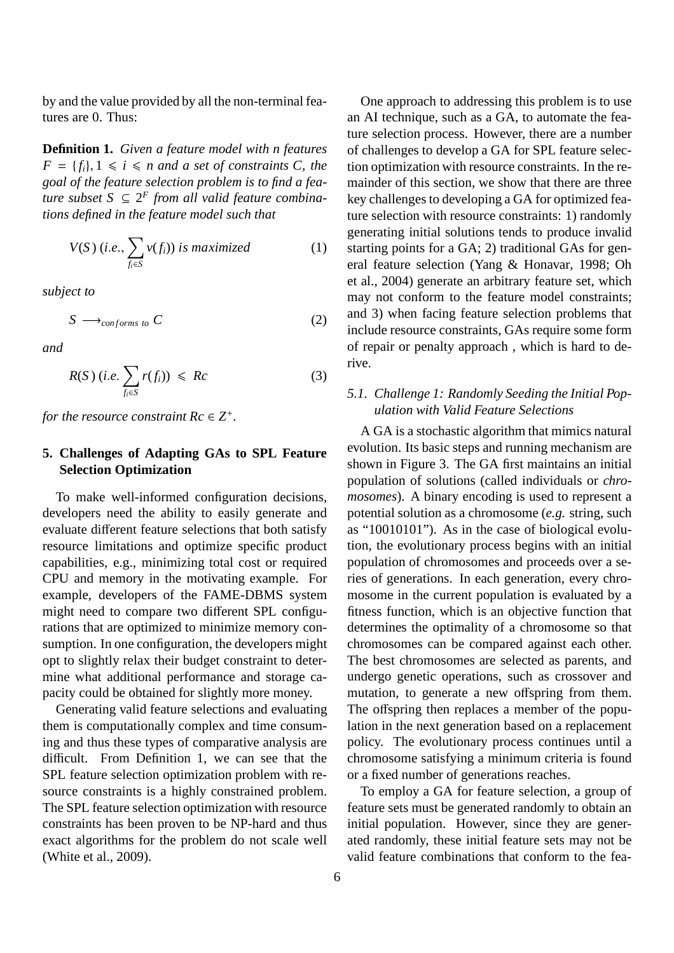by and the value provided by all the non-terminal features are 0. Thus:

**Definition 1.** *Given a feature model with n features*  $F = \{f_i\}, 1 \le i \le n$  *and a set of constraints C, the goal of the feature selection problem is to find a feature subset*  $S$  ⊆  $2^F$  *from all valid feature combinations defined in the feature model such that*

$$
V(S) (i.e., \sum_{f_i \in S} v(f_i)) \text{ is maximized}
$$
 (1)

*subject to*

$$
S \longrightarrow_{conforms \ to} C \tag{2}
$$

*and*

$$
R(S) (i.e. \sum_{f_i \in S} r(f_i)) \leqslant Rc \tag{3}
$$

*for the resource constraint*  $Rc \in \mathbb{Z}^+$ *.* 

# **5. Challenges of Adapting GAs to SPL Feature Selection Optimization**

To make well-informed configuration decisions, developers need the ability to easily generate and evaluate different feature selections that both satisfy resource limitations and optimize specific product capabilities, e.g., minimizing total cost or required CPU and memory in the motivating example. For example, developers of the FAME-DBMS system might need to compare two different SPL configurations that are optimized to minimize memory consumption. In one configuration, the developers might opt to slightly relax their budget constraint to determine what additional performance and storage capacity could be obtained for slightly more money.

Generating valid feature selections and evaluating them is computationally complex and time consuming and thus these types of comparative analysis are difficult. From Definition 1, we can see that the SPL feature selection optimization problem with resource constraints is a highly constrained problem. The SPL feature selection optimization with resource constraints has been proven to be NP-hard and thus exact algorithms for the problem do not scale well (White et al., 2009).

One approach to addressing this problem is to use an AI technique, such as a GA, to automate the feature selection process. However, there are a number of challenges to develop a GA for SPL feature selection optimization with resource constraints. In the remainder of this section, we show that there are three key challenges to developing a GA for optimized feature selection with resource constraints: 1) randomly generating initial solutions tends to produce invalid starting points for a GA; 2) traditional GAs for general feature selection (Yang & Honavar, 1998; Oh et al., 2004) generate an arbitrary feature set, which may not conform to the feature model constraints; and 3) when facing feature selection problems that include resource constraints, GAs require some form of repair or penalty approach , which is hard to derive.

# *5.1. Challenge 1: Randomly Seeding the Initial Population with Valid Feature Selections*

A GA is a stochastic algorithm that mimics natural evolution. Its basic steps and running mechanism are shown in Figure 3. The GA first maintains an initial population of solutions (called individuals or *chromosomes*). A binary encoding is used to represent a potential solution as a chromosome (*e.g.* string, such as "10010101"). As in the case of biological evolution, the evolutionary process begins with an initial population of chromosomes and proceeds over a series of generations. In each generation, every chromosome in the current population is evaluated by a fitness function, which is an objective function that determines the optimality of a chromosome so that chromosomes can be compared against each other. The best chromosomes are selected as parents, and undergo genetic operations, such as crossover and mutation, to generate a new offspring from them. The offspring then replaces a member of the population in the next generation based on a replacement policy. The evolutionary process continues until a chromosome satisfying a minimum criteria is found or a fixed number of generations reaches.

To employ a GA for feature selection, a group of feature sets must be generated randomly to obtain an initial population. However, since they are generated randomly, these initial feature sets may not be valid feature combinations that conform to the fea-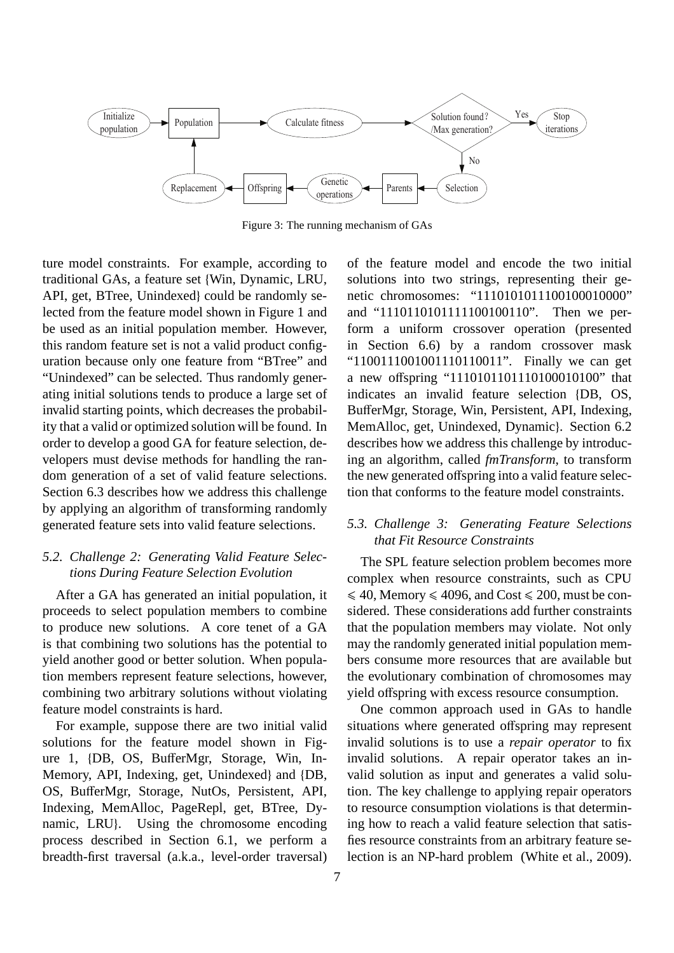

Figure 3: The running mechanism of GAs

ture model constraints. For example, according to traditional GAs, a feature set {Win, Dynamic, LRU, API, get, BTree, Unindexed} could be randomly selected from the feature model shown in Figure 1 and be used as an initial population member. However, this random feature set is not a valid product configuration because only one feature from "BTree" and "Unindexed" can be selected. Thus randomly generating initial solutions tends to produce a large set of invalid starting points, which decreases the probability that a valid or optimized solution will be found. In order to develop a good GA for feature selection, developers must devise methods for handling the random generation of a set of valid feature selections. Section 6.3 describes how we address this challenge by applying an algorithm of transforming randomly generated feature sets into valid feature selections.

# *5.2. Challenge 2: Generating Valid Feature Selections During Feature Selection Evolution*

After a GA has generated an initial population, it proceeds to select population members to combine to produce new solutions. A core tenet of a GA is that combining two solutions has the potential to yield another good or better solution. When population members represent feature selections, however, combining two arbitrary solutions without violating feature model constraints is hard.

For example, suppose there are two initial valid solutions for the feature model shown in Figure 1, {DB, OS, BufferMgr, Storage, Win, In-Memory, API, Indexing, get, Unindexed} and {DB, OS, BufferMgr, Storage, NutOs, Persistent, API, Indexing, MemAlloc, PageRepl, get, BTree, Dynamic, LRU}. Using the chromosome encoding process described in Section 6.1, we perform a breadth-first traversal (a.k.a., level-order traversal)

of the feature model and encode the two initial solutions into two strings, representing their genetic chromosomes: "1110101011100100010000" and "1110110101111100100110". Then we perform a uniform crossover operation (presented in Section 6.6) by a random crossover mask "1100111001001110110011". Finally we can get a new offspring "1110101101110100010100" that indicates an invalid feature selection {DB, OS, BufferMgr, Storage, Win, Persistent, API, Indexing, MemAlloc, get, Unindexed, Dynamic}. Section 6.2 describes how we address this challenge by introducing an algorithm, called *fmTransform*, to transform the new generated offspring into a valid feature selection that conforms to the feature model constraints.

# *5.3. Challenge 3: Generating Feature Selections that Fit Resource Constraints*

The SPL feature selection problem becomes more complex when resource constraints, such as CPU  $\leq 40$ , Memory  $\leq 4096$ , and Cost  $\leq 200$ , must be considered. These considerations add further constraints that the population members may violate. Not only may the randomly generated initial population members consume more resources that are available but the evolutionary combination of chromosomes may yield offspring with excess resource consumption.

One common approach used in GAs to handle situations where generated offspring may represent invalid solutions is to use a *repair operator* to fix invalid solutions. A repair operator takes an invalid solution as input and generates a valid solution. The key challenge to applying repair operators to resource consumption violations is that determining how to reach a valid feature selection that satisfies resource constraints from an arbitrary feature selection is an NP-hard problem (White et al., 2009).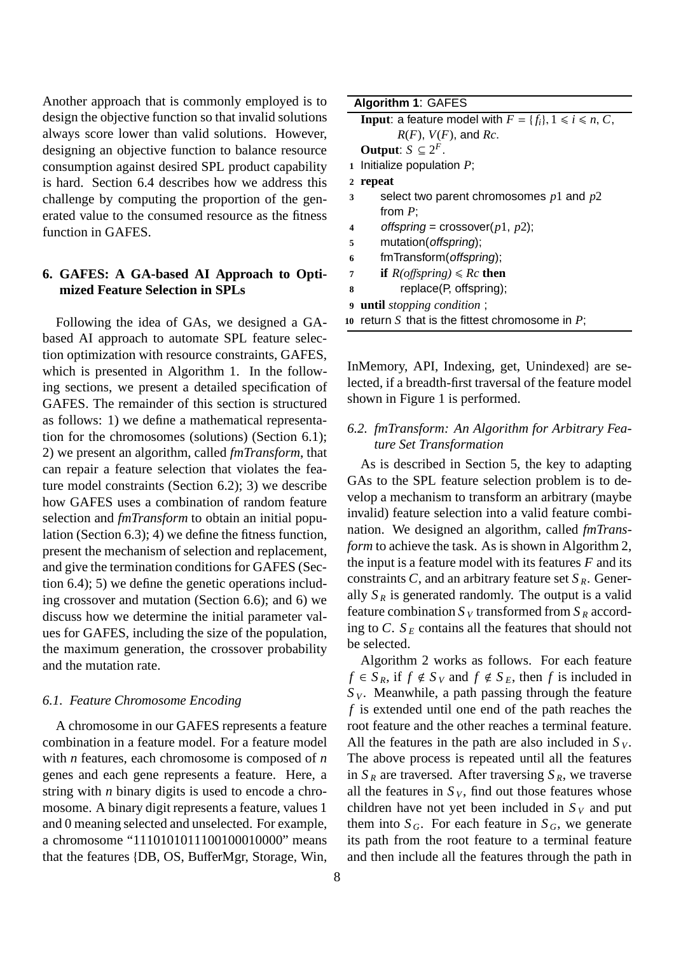Another approach that is commonly employed is to design the objective function so that invalid solutions always score lower than valid solutions. However, designing an objective function to balance resource consumption against desired SPL product capability is hard. Section 6.4 describes how we address this challenge by computing the proportion of the generated value to the consumed resource as the fitness function in GAFES.

# **6. GAFES: A GA-based AI Approach to Optimized Feature Selection in SPLs**

Following the idea of GAs, we designed a GAbased AI approach to automate SPL feature selection optimization with resource constraints, GAFES, which is presented in Algorithm 1. In the following sections, we present a detailed specification of GAFES. The remainder of this section is structured as follows: 1) we define a mathematical representation for the chromosomes (solutions) (Section 6.1); 2) we present an algorithm, called *fmTransform*, that can repair a feature selection that violates the feature model constraints (Section 6.2); 3) we describe how GAFES uses a combination of random feature selection and *fmTransform* to obtain an initial population (Section 6.3); 4) we define the fitness function, present the mechanism of selection and replacement, and give the termination conditions for GAFES (Section 6.4); 5) we define the genetic operations including crossover and mutation (Section 6.6); and 6) we discuss how we determine the initial parameter values for GAFES, including the size of the population, the maximum generation, the crossover probability and the mutation rate.

#### *6.1. Feature Chromosome Encoding*

A chromosome in our GAFES represents a feature combination in a feature model. For a feature model with *n* features, each chromosome is composed of *n* genes and each gene represents a feature. Here, a string with *n* binary digits is used to encode a chromosome. A binary digit represents a feature, values 1 and 0 meaning selected and unselected. For example, a chromosome "1110101011100100010000" means that the features {DB, OS, BufferMgr, Storage, Win,

**Input**: a feature model with  $F = \{f_i\}, 1 \le i \le n, C$ ,  $R(F)$ ,  $V(F)$ , and  $Rc$ .

**Output**:  $S \subseteq 2^F$ .

**1** Initialize population *P*;

#### **2 repeat**

- **3** select two parent chromosomes *p*1 and *p*2 from *P*;
- 4 offspring = crossover( $p1$ ,  $p2$ );
- **5** mutation(offspring);
- **6** fmTransform(offspring);
- *7* **<b>if**  $R(offspring) \leq Rc$  **then**
- **8** replace(P, offspring);
- **9 until** *stopping condition* ;
- **10** return *S* that is the fittest chromosome in *P*;

InMemory, API, Indexing, get, Unindexed} are selected, if a breadth-first traversal of the feature model shown in Figure 1 is performed.

# *6.2. fmTransform: An Algorithm for Arbitrary Feature Set Transformation*

As is described in Section 5, the key to adapting GAs to the SPL feature selection problem is to develop a mechanism to transform an arbitrary (maybe invalid) feature selection into a valid feature combination. We designed an algorithm, called *fmTransform* to achieve the task. As is shown in Algorithm 2, the input is a feature model with its features *F* and its constraints *C*, and an arbitrary feature set  $S_R$ . Generally  $S_R$  is generated randomly. The output is a valid feature combination  $S<sub>V</sub>$  transformed from  $S<sub>R</sub>$  according to *C*.  $S_E$  contains all the features that should not be selected.

Algorithm 2 works as follows. For each feature  $f \in S_R$ , if  $f \notin S_V$  and  $f \notin S_E$ , then *f* is included in  $S<sub>V</sub>$ . Meanwhile, a path passing through the feature *f* is extended until one end of the path reaches the root feature and the other reaches a terminal feature. All the features in the path are also included in  $S_V$ . The above process is repeated until all the features in  $S_R$  are traversed. After traversing  $S_R$ , we traverse all the features in  $S_V$ , find out those features whose children have not yet been included in  $S_V$  and put them into  $S_G$ . For each feature in  $S_G$ , we generate its path from the root feature to a terminal feature and then include all the features through the path in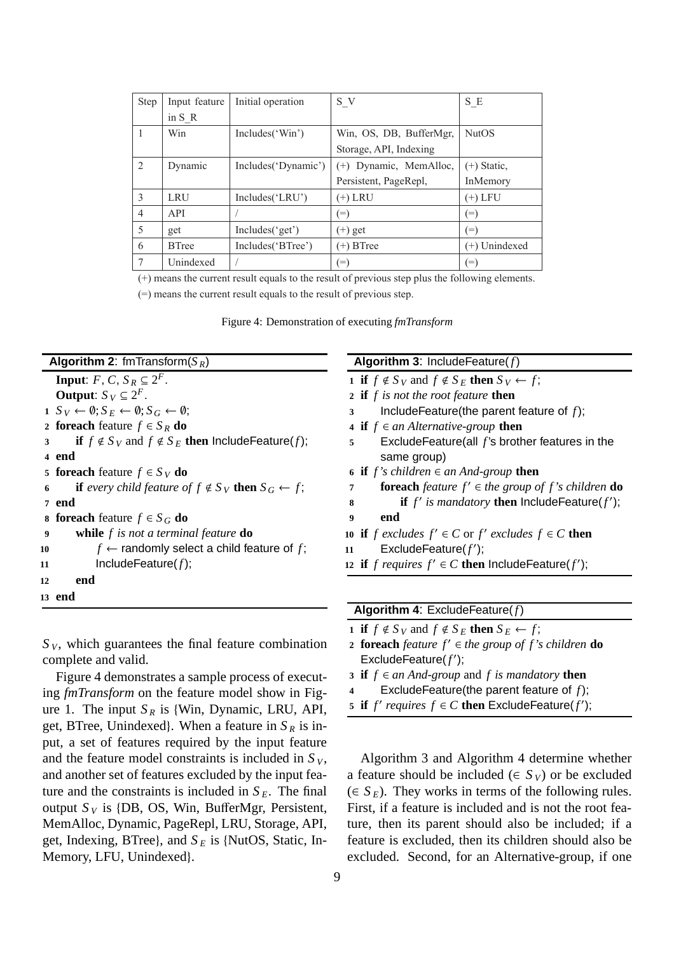| <b>Step</b>    | Input feature | Initial operation   | S V                         | S E           |
|----------------|---------------|---------------------|-----------------------------|---------------|
|                | in $S$ R      |                     |                             |               |
|                | Win           | Includes('Win')     | Win, OS, DB, BufferMgr,     | <b>NutOS</b>  |
|                |               |                     | Storage, API, Indexing      |               |
| 2              | Dynamic       | Includes('Dynamic') | Dynamic, MemAlloc,<br>$(+)$ | $(+)$ Static, |
|                |               |                     | Persistent, PageRepl,       | InMemory      |
| 3              | LRU           | Includes('LRU')     | (+) LRU                     | $(+)$ LFU     |
| $\overline{4}$ | API           |                     | $(=)$                       | $(=)$         |
| 5              | get           | Includes('get')     | $(+)$ get                   | $(=)$         |
| 6              | <b>B</b> Tree | Includes('BTree')   | $(+)$ BTree                 | (+) Unindexed |
| 7              | Unindexed     |                     | $(=)$                       | $(=)$         |

(+) means the current result equals to the result of previous step plus the following elements.

(=) means the current result equals to the result of previous step.

| Figure 4: Demonstration of executing fmTransform |  |
|--------------------------------------------------|--|
|--------------------------------------------------|--|

|  |  | <b>Algorithm 2:</b> fmTransform( $S_R$ ) |
|--|--|------------------------------------------|
|--|--|------------------------------------------|

|    | <b>Input:</b> F, C, $S_R \subseteq 2^F$ .                                         |
|----|-----------------------------------------------------------------------------------|
|    | <b>Output:</b> $S_V \subseteq 2^F$ .                                              |
|    | $1 S_V \leftarrow \emptyset; S_E \leftarrow \emptyset; S_G \leftarrow \emptyset;$ |
|    | 2 foreach feature $f \in S_R$ do                                                  |
| 3  | if $f \notin S_V$ and $f \notin S_E$ then Include Feature(f);                     |
|    | 4 end                                                                             |
|    | 5 foreach feature $f \in S_V$ do                                                  |
| 6  | <b>if</b> every child feature of $f \notin S_V$ <b>then</b> $S_G \leftarrow f$ ;  |
|    | 7 end                                                                             |
|    | <b>8 foreach</b> feature $f \in S_G$ do                                           |
| 9  | while $f$ is not a terminal feature $\bf{do}$                                     |
| 10 | $f \leftarrow$ randomly select a child feature of f;                              |
| 11 | Include Feature $(f)$ ;                                                           |
| 12 | end                                                                               |
|    | 13 end                                                                            |
|    |                                                                                   |

 $S_V$ , which guarantees the final feature combination complete and valid.

Figure 4 demonstrates a sample process of executing *fmTransform* on the feature model show in Figure 1. The input  $S_R$  is {Win, Dynamic, LRU, API, get, BTree, Unindexed}. When a feature in  $S_R$  is input, a set of features required by the input feature and the feature model constraints is included in  $S_V$ , and another set of features excluded by the input feature and the constraints is included in  $S_E$ . The final output  $S_V$  is {DB, OS, Win, BufferMgr, Persistent, MemAlloc, Dynamic, PageRepl, LRU, Storage, API, get, Indexing, BTree}, and  $S_E$  is {NutOS, Static, In-Memory, LFU, Unindexed}.

#### **Algorithm 3**: IncludeFeature(*f*)

- **1 if**  $f \notin S_V$  and  $f \notin S_E$  **then**  $S_V \leftarrow f$ ;
- **2 if** *f is not the root feature* **then**
- **3** IncludeFeature(the parent feature of *f*);
- **4 if** *f* ∈ *an Alternative-group* **then**
- **5** ExcludeFeature(all *f* 's brother features in the same group)
- **6 if**  $f$ 's children ∈ *an* And-group **then**
- *foreach feature f'*  $\in$  *the group of f's children* **do**
- **if**  $f'$  is mandatory **then** lncludeFeature( $f'$ );
- **9 end**
- **if** *f* excludes  $f' \in C$  or  $f'$  excludes  $f \in C$  **then**
- 11 ExcludeFeature(f');
- **if** *f requires*  $f' \in C$  **then** lncludeFeature( $f'$ );

|  | <b>Algorithm 4: Exclude Feature <math>(f)</math></b> |
|--|------------------------------------------------------|
|--|------------------------------------------------------|

- **1 if**  $f \notin S_V$  and  $f \notin S_E$  **then**  $S_E \leftarrow f$ ;
- *foreach feature f'*  $\in$  *the group of f's children* **do** ExcludeFeature(*f* ′ );
- **3 if**  $f ∈ an And-group$  and  $f$  *is mandatory* **then**
- **4** ExcludeFeature(the parent feature of *f*);
- 5 if  $f'$  *requires*  $f \in C$  then ExcludeFeature( $f'$ );

Algorithm 3 and Algorithm 4 determine whether a feature should be included ( $\in S_V$ ) or be excluded  $(\in S_E)$ . They works in terms of the following rules. First, if a feature is included and is not the root feature, then its parent should also be included; if a feature is excluded, then its children should also be excluded. Second, for an Alternative-group, if one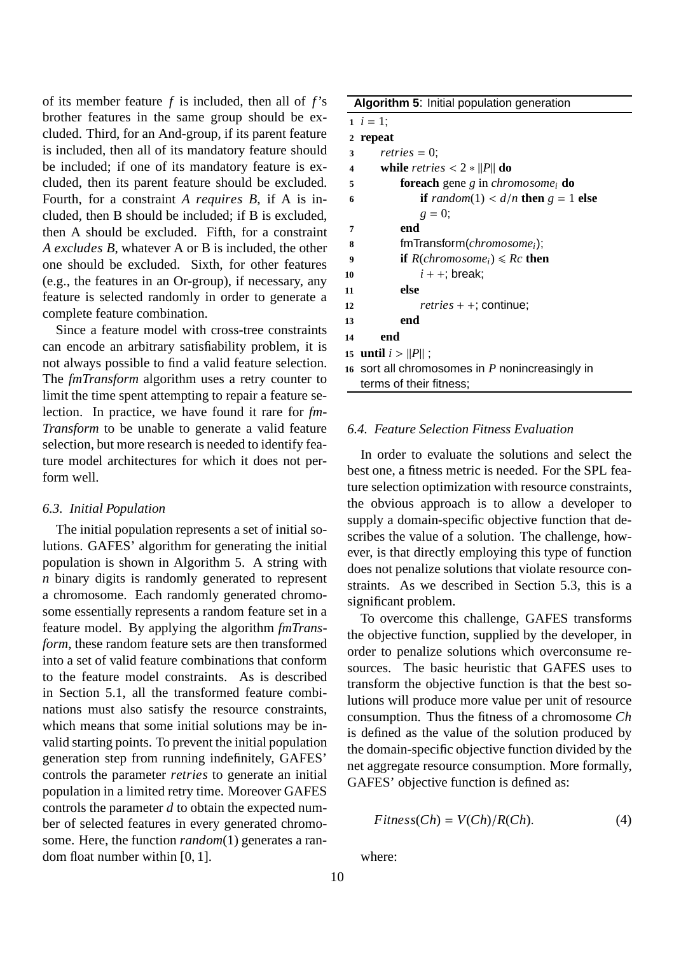of its member feature *f* is included, then all of *f*'s brother features in the same group should be excluded. Third, for an And-group, if its parent feature is included, then all of its mandatory feature should be included; if one of its mandatory feature is excluded, then its parent feature should be excluded. Fourth, for a constraint *A requires B*, if A is included, then B should be included; if B is excluded, then A should be excluded. Fifth, for a constraint *A excludes B*, whatever A or B is included, the other one should be excluded. Sixth, for other features (e.g., the features in an Or-group), if necessary, any feature is selected randomly in order to generate a complete feature combination.

Since a feature model with cross-tree constraints can encode an arbitrary satisfiability problem, it is not always possible to find a valid feature selection. The *fmTransform* algorithm uses a retry counter to limit the time spent attempting to repair a feature selection. In practice, we have found it rare for *fm-Transform* to be unable to generate a valid feature selection, but more research is needed to identify feature model architectures for which it does not perform well.

#### *6.3. Initial Population*

The initial population represents a set of initial solutions. GAFES' algorithm for generating the initial population is shown in Algorithm 5. A string with *n* binary digits is randomly generated to represent a chromosome. Each randomly generated chromosome essentially represents a random feature set in a feature model. By applying the algorithm *fmTransform*, these random feature sets are then transformed into a set of valid feature combinations that conform to the feature model constraints. As is described in Section 5.1, all the transformed feature combinations must also satisfy the resource constraints, which means that some initial solutions may be invalid starting points. To prevent the initial population generation step from running indefinitely, GAFES' controls the parameter *retries* to generate an initial population in a limited retry time. Moreover GAFES controls the parameter *d* to obtain the expected number of selected features in every generated chromosome. Here, the function *random*(1) generates a random float number within [0, 1].

**Algorithm 5**: Initial population generation

|                         | $1 \;\; i = 1;$                                                   |
|-------------------------|-------------------------------------------------------------------|
|                         | 2 repeat                                                          |
| 3                       | <i>retries</i> = 0;                                               |
| $\overline{\mathbf{4}}$ | while <i>retries</i> $< 2 *   P  $ do                             |
| 5                       | <b>foreach</b> gene g in <i>chromosome</i> <sub>i</sub> <b>do</b> |
| 6                       | <b>if</b> random(1) < $d/n$ then $g = 1$ else                     |
|                         | $g = 0$ ;                                                         |
| 7                       | end                                                               |
| 8                       | fmTransform( <i>chromosome<sub>i</sub></i> );                     |
| 9                       | <b>if</b> $R(chromosome_i) \leq Rc$ <b>then</b>                   |
| 10                      | $i + +$ ; break;                                                  |
| 11                      | else                                                              |
| 12                      | <i>retries</i> $+$ $+$ ; continue;                                |
| 13                      | end                                                               |
| 14                      | end                                                               |
|                         | 15 <b>until</b> $i >   P  $ ;                                     |
|                         | 16 sort all chromosomes in $P$ nonincreasingly in                 |
|                         | terms of their fitness;                                           |

## *6.4. Feature Selection Fitness Evaluation*

In order to evaluate the solutions and select the best one, a fitness metric is needed. For the SPL feature selection optimization with resource constraints, the obvious approach is to allow a developer to supply a domain-specific objective function that describes the value of a solution. The challenge, however, is that directly employing this type of function does not penalize solutions that violate resource constraints. As we described in Section 5.3, this is a significant problem.

To overcome this challenge, GAFES transforms the objective function, supplied by the developer, in order to penalize solutions which overconsume resources. The basic heuristic that GAFES uses to transform the objective function is that the best solutions will produce more value per unit of resource consumption. Thus the fitness of a chromosome *Ch* is defined as the value of the solution produced by the domain-specific objective function divided by the net aggregate resource consumption. More formally, GAFES' objective function is defined as:

$$
Fitness(Ch) = V(Ch)/R(Ch).
$$
 (4)

where: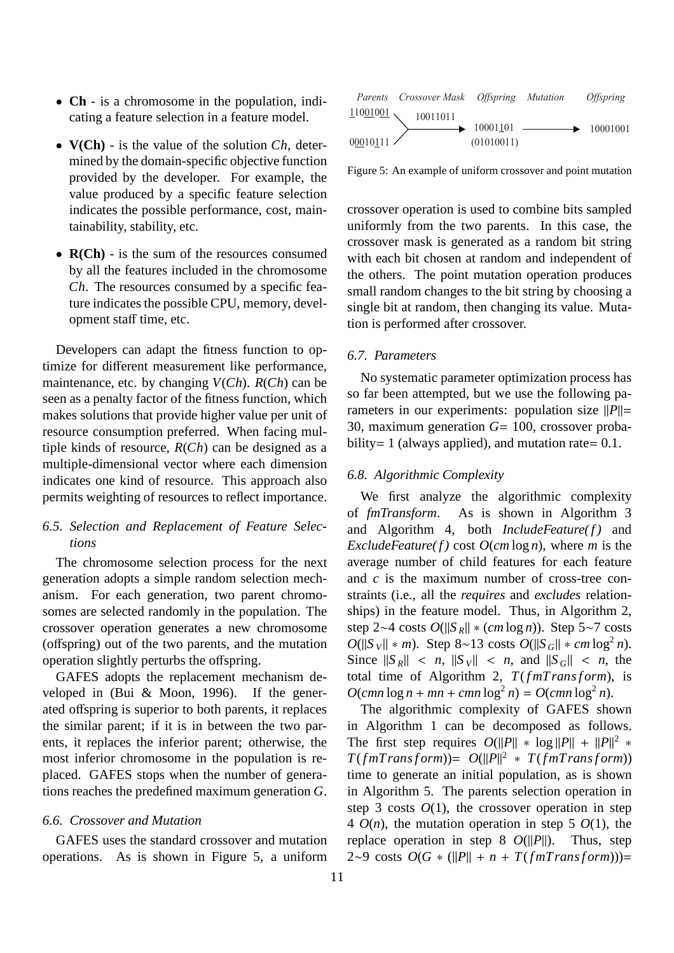- **Ch** is a chromosome in the population, indicating a feature selection in a feature model.
- **V(Ch)** is the value of the solution *Ch*, determined by the domain-specific objective function provided by the developer. For example, the value produced by a specific feature selection indicates the possible performance, cost, maintainability, stability, etc.
- **R(Ch)** is the sum of the resources consumed by all the features included in the chromosome *Ch*. The resources consumed by a specific feature indicates the possible CPU, memory, development staff time, etc.

Developers can adapt the fitness function to optimize for different measurement like performance, maintenance, etc. by changing *V*(*Ch*). *R*(*Ch*) can be seen as a penalty factor of the fitness function, which makes solutions that provide higher value per unit of resource consumption preferred. When facing multiple kinds of resource, *R*(*Ch*) can be designed as a multiple-dimensional vector where each dimension indicates one kind of resource. This approach also permits weighting of resources to reflect importance.

# *6.5. Selection and Replacement of Feature Selections*

The chromosome selection process for the next generation adopts a simple random selection mechanism. For each generation, two parent chromosomes are selected randomly in the population. The crossover operation generates a new chromosome (offspring) out of the two parents, and the mutation operation slightly perturbs the offspring.

GAFES adopts the replacement mechanism developed in (Bui & Moon, 1996). If the generated offspring is superior to both parents, it replaces the similar parent; if it is in between the two parents, it replaces the inferior parent; otherwise, the most inferior chromosome in the population is replaced. GAFES stops when the number of generations reaches the predefined maximum generation *G*.

#### *6.6. Crossover and Mutation*

GAFES uses the standard crossover and mutation operations. As is shown in Figure 5, a uniform



Figure 5: An example of uniform crossover and point mutation

crossover operation is used to combine bits sampled uniformly from the two parents. In this case, the crossover mask is generated as a random bit string with each bit chosen at random and independent of the others. The point mutation operation produces small random changes to the bit string by choosing a single bit at random, then changing its value. Mutation is performed after crossover.

#### *6.7. Parameters*

No systematic parameter optimization process has so far been attempted, but we use the following parameters in our experiments: population size  $||P||=$ 30, maximum generation *G*= 100, crossover probability = 1 (always applied), and mutation rate =  $0.1$ .

#### *6.8. Algorithmic Complexity*

We first analyze the algorithmic complexity of *fmTransform*. As is shown in Algorithm 3 and Algorithm 4, both *IncludeFeature(f)* and *ExcludeFeature(f)* cost  $O(cm \log n)$ , where *m* is the average number of child features for each feature and *c* is the maximum number of cross-tree constraints (i.e., all the *requires* and *excludes* relationships) in the feature model. Thus, in Algorithm 2, step 2∼4 costs *O*(||*S <sup>R</sup>*|| ∗ (*cm* log *n*)). Step 5∼7 costs *O*( $||S_V||$  ∗ *m*). Step 8∼13 costs *O*( $||S_G||$  ∗ *cm* log<sup>2</sup> *n*). Since  $||S_R|| < n$ ,  $||S_V|| < n$ , and  $||S_G|| < n$ , the total time of Algorithm 2,  $T(fmTransform)$ , is  $O(\text{cmn} \log n + \text{mn} + \text{cmn} \log^2 n) = O(\text{cmn} \log^2 n).$ 

The algorithmic complexity of GAFES shown in Algorithm 1 can be decomposed as follows. The first step requires  $O(||P|| * log ||P|| + ||P||^2 *$  $T(fmTransform) = O(||P||^2 * T(fmTransform))$ time to generate an initial population, as is shown in Algorithm 5. The parents selection operation in step 3 costs  $O(1)$ , the crossover operation in step 4  $O(n)$ , the mutation operation in step 5  $O(1)$ , the replace operation in step 8  $O(||P||)$ . Thus, step 2∼9 costs  $O(G * (||P|| + n + T(fmTransform)))=$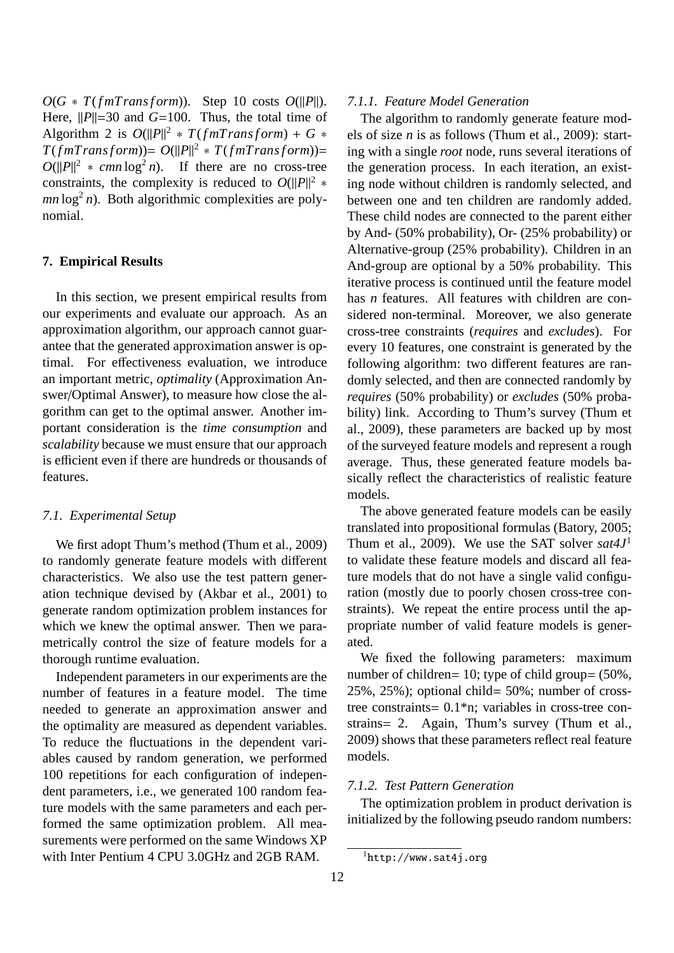$O(G * T(fmTransform))$ . Step 10 costs  $O(||P||)$ . Here,  $||P||=30$  and  $G=100$ . Thus, the total time of Algorithm 2 is  $O(||P||^2 * T(fmTransform) + G *$  $T(fmTransform) = O(||P||^2 * T(fmTransform) =$  $O(||P||^2 * cmn \log^2 n)$ . If there are no cross-tree constraints, the complexity is reduced to  $O(||P||^2 *$  $mn \log^2 n$ ). Both algorithmic complexities are polynomial.

#### **7. Empirical Results**

In this section, we present empirical results from our experiments and evaluate our approach. As an approximation algorithm, our approach cannot guarantee that the generated approximation answer is optimal. For effectiveness evaluation, we introduce an important metric, *optimality* (Approximation Answer/Optimal Answer), to measure how close the algorithm can get to the optimal answer. Another important consideration is the *time consumption* and *scalability* because we must ensure that our approach is efficient even if there are hundreds or thousands of features.

#### *7.1. Experimental Setup*

We first adopt Thum's method (Thum et al., 2009) to randomly generate feature models with different characteristics. We also use the test pattern generation technique devised by (Akbar et al., 2001) to generate random optimization problem instances for which we knew the optimal answer. Then we parametrically control the size of feature models for a thorough runtime evaluation.

Independent parameters in our experiments are the number of features in a feature model. The time needed to generate an approximation answer and the optimality are measured as dependent variables. To reduce the fluctuations in the dependent variables caused by random generation, we performed 100 repetitions for each configuration of independent parameters, i.e., we generated 100 random feature models with the same parameters and each performed the same optimization problem. All measurements were performed on the same Windows XP with Inter Pentium 4 CPU 3.0GHz and 2GB RAM.

#### *7.1.1. Feature Model Generation*

The algorithm to randomly generate feature models of size *n* is as follows (Thum et al., 2009): starting with a single *root* node, runs several iterations of the generation process. In each iteration, an existing node without children is randomly selected, and between one and ten children are randomly added. These child nodes are connected to the parent either by And- (50% probability), Or- (25% probability) or Alternative-group (25% probability). Children in an And-group are optional by a 50% probability. This iterative process is continued until the feature model has *n* features. All features with children are considered non-terminal. Moreover, we also generate cross-tree constraints (*requires* and *excludes*). For every 10 features, one constraint is generated by the following algorithm: two different features are randomly selected, and then are connected randomly by *requires* (50% probability) or *excludes* (50% probability) link. According to Thum's survey (Thum et al., 2009), these parameters are backed up by most of the surveyed feature models and represent a rough average. Thus, these generated feature models basically reflect the characteristics of realistic feature models.

The above generated feature models can be easily translated into propositional formulas (Batory, 2005; Thum et al., 2009). We use the SAT solver *sat4J*<sup>1</sup> to validate these feature models and discard all feature models that do not have a single valid configuration (mostly due to poorly chosen cross-tree constraints). We repeat the entire process until the appropriate number of valid feature models is generated.

We fixed the following parameters: maximum number of children= 10; type of child group= (50%, 25%, 25%); optional child= 50%; number of crosstree constraints= 0.1\*n; variables in cross-tree constrains= 2. Again, Thum's survey (Thum et al., 2009) shows that these parameters reflect real feature models.

#### *7.1.2. Test Pattern Generation*

The optimization problem in product derivation is initialized by the following pseudo random numbers:

 ${}^{1}$ http://www.sat4j.org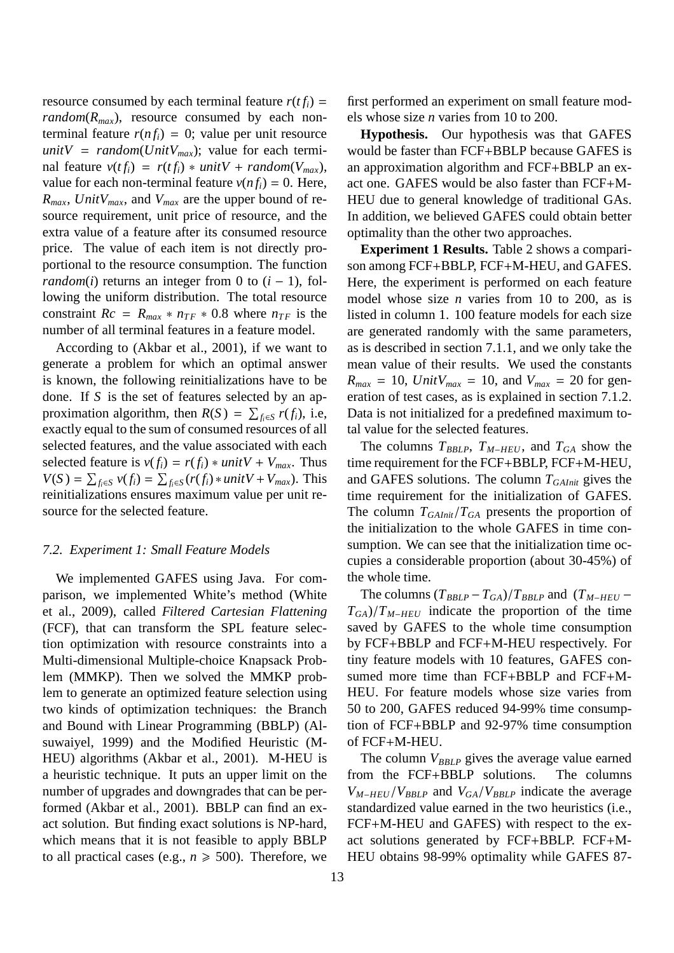resource consumed by each terminal feature  $r(t f_i)$  = *random*( $R_{max}$ ), resource consumed by each nonterminal feature  $r(n f_i) = 0$ ; value per unit resource *unitV* = *random*(*UnitV<sub>max</sub>*); value for each terminal feature  $v(t f_i) = r(t f_i) * unitV + random(V_{max})$ , value for each non-terminal feature  $v(n f_i) = 0$ . Here, *Rmax*, *UnitVmax*, and *Vmax* are the upper bound of resource requirement, unit price of resource, and the extra value of a feature after its consumed resource price. The value of each item is not directly proportional to the resource consumption. The function *random*(*i*) returns an integer from 0 to  $(i - 1)$ , following the uniform distribution. The total resource constraint  $Rc = R_{max} * n_{TF} * 0.8$  where  $n_{TF}$  is the number of all terminal features in a feature model.

According to (Akbar et al., 2001), if we want to generate a problem for which an optimal answer is known, the following reinitializations have to be done. If *S* is the set of features selected by an approximation algorithm, then  $R(S) = \sum_{f_i \in S} r(f_i)$ , i.e, exactly equal to the sum of consumed resources of all selected features, and the value associated with each selected feature is  $v(f_i) = r(f_i) * unitV + V_{max}$ . Thus  $V(S) = \sum_{f_i \in S} v(f_i) = \sum_{f_i \in S} (r(f_i) * unitV + V_{max})$ . This reinitializations ensures maximum value per unit resource for the selected feature.

#### *7.2. Experiment 1: Small Feature Models*

We implemented GAFES using Java. For comparison, we implemented White's method (White et al., 2009), called *Filtered Cartesian Flattening* (FCF), that can transform the SPL feature selection optimization with resource constraints into a Multi-dimensional Multiple-choice Knapsack Problem (MMKP). Then we solved the MMKP problem to generate an optimized feature selection using two kinds of optimization techniques: the Branch and Bound with Linear Programming (BBLP) (Alsuwaiyel, 1999) and the Modified Heuristic (M-HEU) algorithms (Akbar et al., 2001). M-HEU is a heuristic technique. It puts an upper limit on the number of upgrades and downgrades that can be performed (Akbar et al., 2001). BBLP can find an exact solution. But finding exact solutions is NP-hard, which means that it is not feasible to apply BBLP to all practical cases (e.g.,  $n \ge 500$ ). Therefore, we

first performed an experiment on small feature models whose size *n* varies from 10 to 200.

**Hypothesis.** Our hypothesis was that GAFES would be faster than FCF+BBLP because GAFES is an approximation algorithm and FCF+BBLP an exact one. GAFES would be also faster than FCF+M-HEU due to general knowledge of traditional GAs. In addition, we believed GAFES could obtain better optimality than the other two approaches.

**Experiment 1 Results.** Table 2 shows a comparison among FCF+BBLP, FCF+M-HEU, and GAFES. Here, the experiment is performed on each feature model whose size *n* varies from 10 to 200, as is listed in column 1. 100 feature models for each size are generated randomly with the same parameters, as is described in section 7.1.1, and we only take the mean value of their results. We used the constants  $R_{max} = 10$ , *Unit* $V_{max} = 10$ , and  $V_{max} = 20$  for generation of test cases, as is explained in section 7.1.2. Data is not initialized for a predefined maximum total value for the selected features.

The columns *TBBLP*, *TM*−*HEU* , and *TGA* show the time requirement for the FCF+BBLP, FCF+M-HEU, and GAFES solutions. The column *TGAInit* gives the time requirement for the initialization of GAFES. The column  $T_{GAlnit}/T_{GA}$  presents the proportion of the initialization to the whole GAFES in time consumption. We can see that the initialization time occupies a considerable proportion (about 30-45%) of the whole time.

The columns  $(T_{BBLP} - T_{GA})/T_{BBLP}$  and  $(T_{M-HEU} - T_{GH}T_{BH})$  $T_{GA}$ )/ $T_{M-HEU}$  indicate the proportion of the time saved by GAFES to the whole time consumption by FCF+BBLP and FCF+M-HEU respectively. For tiny feature models with 10 features, GAFES consumed more time than FCF+BBLP and FCF+M-HEU. For feature models whose size varies from 50 to 200, GAFES reduced 94-99% time consumption of FCF+BBLP and 92-97% time consumption of FCF+M-HEU.

The column  $V_{BBLP}$  gives the average value earned from the FCF+BBLP solutions. The columns *VM*−*HEU*/*VBBLP* and *VGA*/*VBBLP* indicate the average standardized value earned in the two heuristics (i.e., FCF+M-HEU and GAFES) with respect to the exact solutions generated by FCF+BBLP. FCF+M-HEU obtains 98-99% optimality while GAFES 87-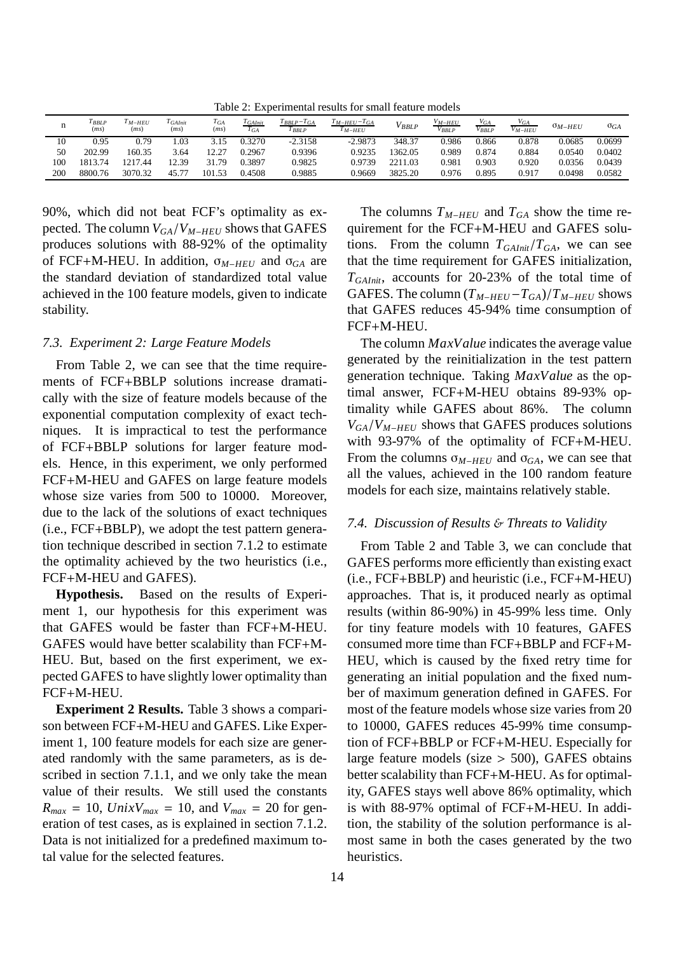Table 2: Experimental results for small feature models

| n   | $I$ <i>BBLP</i><br>(ms) | M-HEU<br>(ms) | <sup>I</sup> GAInit<br>(ms) | $T_{GA}$<br>(ms)    | <sup>I</sup> GAInit<br>$T_{GA}$ | $I_{BBLP}-I_{GA}$<br>BBLP | $I_{M-HEU}-I_{GA}$<br>I M-HEU | $'$ BBLP | <i>V<sub>M-HEU</sub></i><br>$V_{BBLP}$ | $V_{GA}$<br>V BBLP | VGA<br>V M-HEU | $\sigma_{M-HEU}$ | $\sigma_{GA}$ |
|-----|-------------------------|---------------|-----------------------------|---------------------|---------------------------------|---------------------------|-------------------------------|----------|----------------------------------------|--------------------|----------------|------------------|---------------|
| 10  | 0.95                    | 0.79          | 1.03                        |                     | .3270                           | $-2.3158$                 | $-2.9873$                     | 348.37   | 0.986                                  | 0.866              | 0.878          | 0.0685           | 0.0699        |
| 50  | 202.99                  | 160.35        | 3.64                        | 12.27<br>. <u>.</u> | 0.2967                          | 0.9396                    | 0.9235                        | '362.05  | 0.989                                  | 0.874              | 0.884          | 0.0540           | 0.0402        |
| 100 | 813.74                  | 1217.44       | 12.39                       | 31.79               | 0.3897                          | 0.9825                    | 0.9739                        | 2211.03  | 0.981                                  | 0.903              | 0.920          | 0.0356           | 0.0439        |
| 200 | 8800.76                 | 3070.32       | 45.                         | 1.53<br>$10^{4}$    | 0.4508                          | 0.9885                    | 0.9669                        | 3825.20  | 0.976                                  | 0.895              | 0.917          | 0.0498           | 0.0582        |

90%, which did not beat FCF's optimality as expected. The column *VGA*/*VM*−*HEU* shows that GAFES produces solutions with 88-92% of the optimality of FCF+M-HEU. In addition, σ*M*−*HEU* and σ*GA* are the standard deviation of standardized total value achieved in the 100 feature models, given to indicate stability.

#### *7.3. Experiment 2: Large Feature Models*

From Table 2, we can see that the time requirements of FCF+BBLP solutions increase dramatically with the size of feature models because of the exponential computation complexity of exact techniques. It is impractical to test the performance of FCF+BBLP solutions for larger feature models. Hence, in this experiment, we only performed FCF+M-HEU and GAFES on large feature models whose size varies from 500 to 10000. Moreover, due to the lack of the solutions of exact techniques (i.e., FCF+BBLP), we adopt the test pattern generation technique described in section 7.1.2 to estimate the optimality achieved by the two heuristics (i.e., FCF+M-HEU and GAFES).

**Hypothesis.** Based on the results of Experiment 1, our hypothesis for this experiment was that GAFES would be faster than FCF+M-HEU. GAFES would have better scalability than FCF+M-HEU. But, based on the first experiment, we expected GAFES to have slightly lower optimality than FCF+M-HEU.

**Experiment 2 Results.** Table 3 shows a comparison between FCF+M-HEU and GAFES. Like Experiment 1, 100 feature models for each size are generated randomly with the same parameters, as is described in section 7.1.1, and we only take the mean value of their results. We still used the constants  $R_{max} = 10$ , *UnixV*<sub>max</sub> = 10, and  $V_{max} = 20$  for generation of test cases, as is explained in section 7.1.2. Data is not initialized for a predefined maximum total value for the selected features.

The columns  $T_{M-HEU}$  and  $T_{GA}$  show the time requirement for the FCF+M-HEU and GAFES solutions. From the column  $T_{G A Init}/T_{G A}$ , we can see that the time requirement for GAFES initialization, *TGAInit*, accounts for 20-23% of the total time of GAFES. The column  $(T_{M-HEU} - T_{GA})/T_{M-HEU}$  shows that GAFES reduces 45-94% time consumption of FCF+M-HEU.

The column *MaxValue* indicates the average value generated by the reinitialization in the test pattern generation technique. Taking *MaxValue* as the optimal answer, FCF+M-HEU obtains 89-93% optimality while GAFES about 86%. The column  $V_{GA}/V_{M-HEU}$  shows that GAFES produces solutions with 93-97% of the optimality of FCF+M-HEU. From the columns  $\sigma_{M-HEU}$  and  $\sigma_{GA}$ , we can see that all the values, achieved in the 100 random feature models for each size, maintains relatively stable.

#### *7.4. Discussion of Results* & *Threats to Validity*

From Table 2 and Table 3, we can conclude that GAFES performs more efficiently than existing exact (i.e., FCF+BBLP) and heuristic (i.e., FCF+M-HEU) approaches. That is, it produced nearly as optimal results (within 86-90%) in 45-99% less time. Only for tiny feature models with 10 features, GAFES consumed more time than FCF+BBLP and FCF+M-HEU, which is caused by the fixed retry time for generating an initial population and the fixed number of maximum generation defined in GAFES. For most of the feature models whose size varies from 20 to 10000, GAFES reduces 45-99% time consumption of FCF+BBLP or FCF+M-HEU. Especially for large feature models (size  $>$  500), GAFES obtains better scalability than FCF+M-HEU. As for optimality, GAFES stays well above 86% optimality, which is with 88-97% optimal of FCF+M-HEU. In addition, the stability of the solution performance is almost same in both the cases generated by the two heuristics.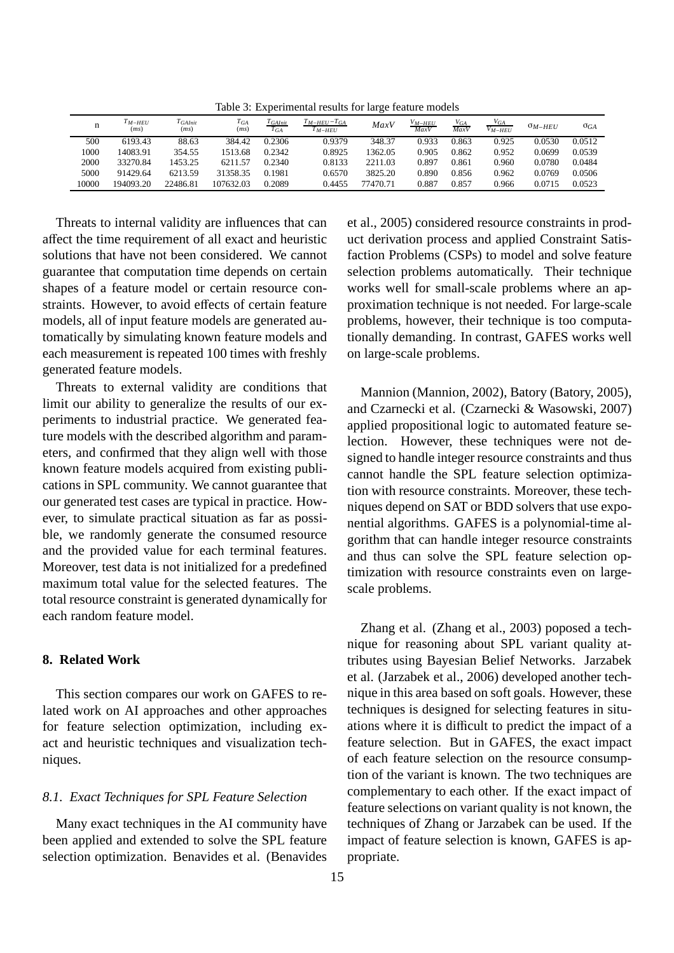Table 3: Experimental results for large feature models

| n     | <sup>I</sup> M-HEU<br>(ms) | $T_{GAlnit}$<br>(ms) | $T_{GA}$<br>(ms) | $T_{G AInit}$<br>$T_{GA}$ | $T_{M-HEU}-T_{GA}$<br>$T_{M-HEU}$ | MaxV     | V <sub>M–HEU</sub><br>MaxV | V <sub>GA</sub><br>MaxV | $V_{GA}$<br>$V_{M-HEI}$ | $\sigma_{M-HEU}$ | $\sigma_{GA}$ |
|-------|----------------------------|----------------------|------------------|---------------------------|-----------------------------------|----------|----------------------------|-------------------------|-------------------------|------------------|---------------|
| 500   | 6193.43                    | 88.63                | 384.42           | 0.2306                    | 0.9379                            | 348.37   | 0.933                      | 0.863                   | 0.925                   | 0.0530           | 0.0512        |
| 1000  | 14083.91                   | 354.55               | 1513.68          | 0.2342                    | 0.8925                            | 1362.05  | 0.905                      | 0.862                   | 0.952                   | 0.0699           | 0.0539        |
| 2000  | 33270.84                   | 1453.25              | 6211.57          | 0.2340                    | 0.8133                            | 2211.03  | 0.897                      | 0.861                   | 0.960                   | 0.0780           | 0.0484        |
| 5000  | 91429.64                   | 6213.59              | 31358.35         | 0.1981                    | 0.6570                            | 3825.20  | 0.890                      | 0.856                   | 0.962                   | 0.0769           | 0.0506        |
| 10000 | 194093.20                  | 22486.81             | 107632.03        | 0.2089                    | 0.4455                            | 77470.71 | 0.887                      | 0.857                   | 0.966                   | 0.0715           | 0.0523        |

Threats to internal validity are influences that can affect the time requirement of all exact and heuristic solutions that have not been considered. We cannot guarantee that computation time depends on certain shapes of a feature model or certain resource constraints. However, to avoid effects of certain feature models, all of input feature models are generated automatically by simulating known feature models and each measurement is repeated 100 times with freshly generated feature models.

Threats to external validity are conditions that limit our ability to generalize the results of our experiments to industrial practice. We generated feature models with the described algorithm and parameters, and confirmed that they align well with those known feature models acquired from existing publications in SPL community. We cannot guarantee that our generated test cases are typical in practice. However, to simulate practical situation as far as possible, we randomly generate the consumed resource and the provided value for each terminal features. Moreover, test data is not initialized for a predefined maximum total value for the selected features. The total resource constraint is generated dynamically for each random feature model.

# **8. Related Work**

This section compares our work on GAFES to related work on AI approaches and other approaches for feature selection optimization, including exact and heuristic techniques and visualization techniques.

## *8.1. Exact Techniques for SPL Feature Selection*

Many exact techniques in the AI community have been applied and extended to solve the SPL feature selection optimization. Benavides et al. (Benavides

et al., 2005) considered resource constraints in product derivation process and applied Constraint Satisfaction Problems (CSPs) to model and solve feature selection problems automatically. Their technique works well for small-scale problems where an approximation technique is not needed. For large-scale problems, however, their technique is too computationally demanding. In contrast, GAFES works well on large-scale problems.

Mannion (Mannion, 2002), Batory (Batory, 2005), and Czarnecki et al. (Czarnecki & Wasowski, 2007) applied propositional logic to automated feature selection. However, these techniques were not designed to handle integer resource constraints and thus cannot handle the SPL feature selection optimization with resource constraints. Moreover, these techniques depend on SAT or BDD solvers that use exponential algorithms. GAFES is a polynomial-time algorithm that can handle integer resource constraints and thus can solve the SPL feature selection optimization with resource constraints even on largescale problems.

Zhang et al. (Zhang et al., 2003) poposed a technique for reasoning about SPL variant quality attributes using Bayesian Belief Networks. Jarzabek et al. (Jarzabek et al., 2006) developed another technique in this area based on soft goals. However, these techniques is designed for selecting features in situations where it is difficult to predict the impact of a feature selection. But in GAFES, the exact impact of each feature selection on the resource consumption of the variant is known. The two techniques are complementary to each other. If the exact impact of feature selections on variant quality is not known, the techniques of Zhang or Jarzabek can be used. If the impact of feature selection is known, GAFES is appropriate.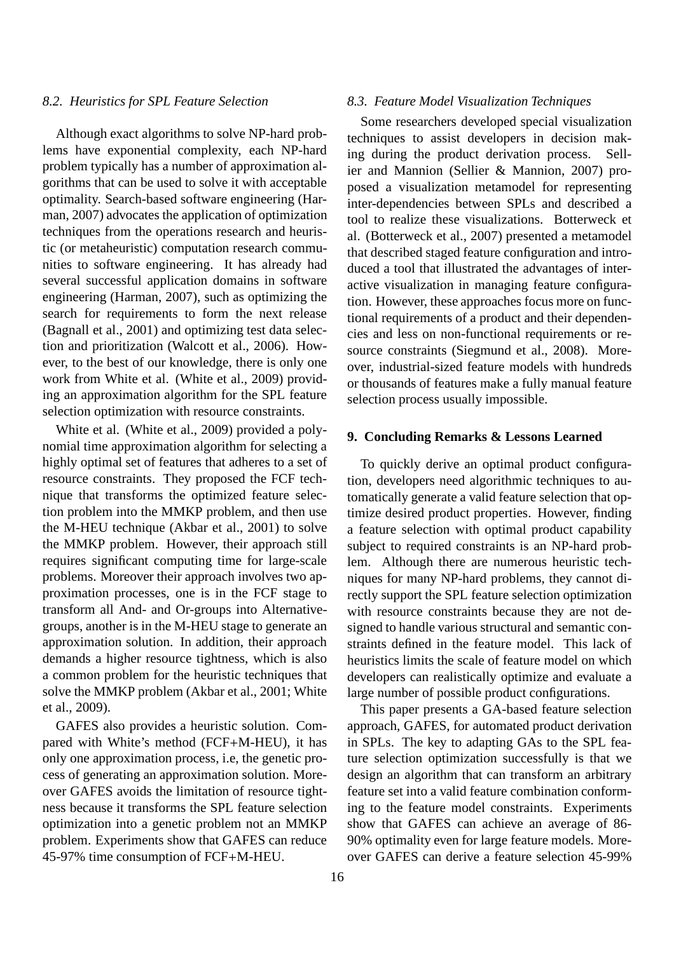#### *8.2. Heuristics for SPL Feature Selection*

Although exact algorithms to solve NP-hard problems have exponential complexity, each NP-hard problem typically has a number of approximation algorithms that can be used to solve it with acceptable optimality. Search-based software engineering (Harman, 2007) advocates the application of optimization techniques from the operations research and heuristic (or metaheuristic) computation research communities to software engineering. It has already had several successful application domains in software engineering (Harman, 2007), such as optimizing the search for requirements to form the next release (Bagnall et al., 2001) and optimizing test data selection and prioritization (Walcott et al., 2006). However, to the best of our knowledge, there is only one work from White et al. (White et al., 2009) providing an approximation algorithm for the SPL feature selection optimization with resource constraints.

White et al. (White et al., 2009) provided a polynomial time approximation algorithm for selecting a highly optimal set of features that adheres to a set of resource constraints. They proposed the FCF technique that transforms the optimized feature selection problem into the MMKP problem, and then use the M-HEU technique (Akbar et al., 2001) to solve the MMKP problem. However, their approach still requires significant computing time for large-scale problems. Moreover their approach involves two approximation processes, one is in the FCF stage to transform all And- and Or-groups into Alternativegroups, another is in the M-HEU stage to generate an approximation solution. In addition, their approach demands a higher resource tightness, which is also a common problem for the heuristic techniques that solve the MMKP problem (Akbar et al., 2001; White et al., 2009).

GAFES also provides a heuristic solution. Compared with White's method (FCF+M-HEU), it has only one approximation process, i.e, the genetic process of generating an approximation solution. Moreover GAFES avoids the limitation of resource tightness because it transforms the SPL feature selection optimization into a genetic problem not an MMKP problem. Experiments show that GAFES can reduce 45-97% time consumption of FCF+M-HEU.

#### *8.3. Feature Model Visualization Techniques*

Some researchers developed special visualization techniques to assist developers in decision making during the product derivation process. Sellier and Mannion (Sellier & Mannion, 2007) proposed a visualization metamodel for representing inter-dependencies between SPLs and described a tool to realize these visualizations. Botterweck et al. (Botterweck et al., 2007) presented a metamodel that described staged feature configuration and introduced a tool that illustrated the advantages of interactive visualization in managing feature configuration. However, these approaches focus more on functional requirements of a product and their dependencies and less on non-functional requirements or resource constraints (Siegmund et al., 2008). Moreover, industrial-sized feature models with hundreds or thousands of features make a fully manual feature selection process usually impossible.

#### **9. Concluding Remarks & Lessons Learned**

To quickly derive an optimal product configuration, developers need algorithmic techniques to automatically generate a valid feature selection that optimize desired product properties. However, finding a feature selection with optimal product capability subject to required constraints is an NP-hard problem. Although there are numerous heuristic techniques for many NP-hard problems, they cannot directly support the SPL feature selection optimization with resource constraints because they are not designed to handle various structural and semantic constraints defined in the feature model. This lack of heuristics limits the scale of feature model on which developers can realistically optimize and evaluate a large number of possible product configurations.

This paper presents a GA-based feature selection approach, GAFES, for automated product derivation in SPLs. The key to adapting GAs to the SPL feature selection optimization successfully is that we design an algorithm that can transform an arbitrary feature set into a valid feature combination conforming to the feature model constraints. Experiments show that GAFES can achieve an average of 86- 90% optimality even for large feature models. Moreover GAFES can derive a feature selection 45-99%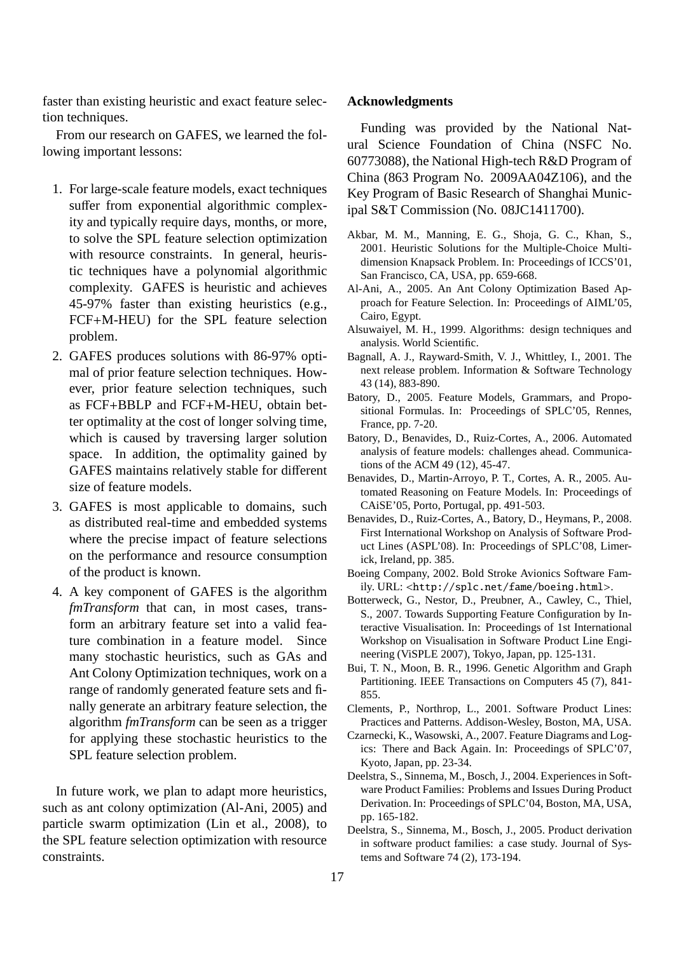faster than existing heuristic and exact feature selection techniques.

From our research on GAFES, we learned the following important lessons:

- 1. For large-scale feature models, exact techniques suffer from exponential algorithmic complexity and typically require days, months, or more, to solve the SPL feature selection optimization with resource constraints. In general, heuristic techniques have a polynomial algorithmic complexity. GAFES is heuristic and achieves 45-97% faster than existing heuristics (e.g., FCF+M-HEU) for the SPL feature selection problem.
- 2. GAFES produces solutions with 86-97% optimal of prior feature selection techniques. However, prior feature selection techniques, such as FCF+BBLP and FCF+M-HEU, obtain better optimality at the cost of longer solving time, which is caused by traversing larger solution space. In addition, the optimality gained by GAFES maintains relatively stable for different size of feature models.
- 3. GAFES is most applicable to domains, such as distributed real-time and embedded systems where the precise impact of feature selections on the performance and resource consumption of the product is known.
- 4. A key component of GAFES is the algorithm *fmTransform* that can, in most cases, transform an arbitrary feature set into a valid feature combination in a feature model. Since many stochastic heuristics, such as GAs and Ant Colony Optimization techniques, work on a range of randomly generated feature sets and finally generate an arbitrary feature selection, the algorithm *fmTransform* can be seen as a trigger for applying these stochastic heuristics to the SPL feature selection problem.

In future work, we plan to adapt more heuristics, such as ant colony optimization (Al-Ani, 2005) and particle swarm optimization (Lin et al., 2008), to the SPL feature selection optimization with resource constraints.

#### **Acknowledgments**

Funding was provided by the National Natural Science Foundation of China (NSFC No. 60773088), the National High-tech R&D Program of China (863 Program No. 2009AA04Z106), and the Key Program of Basic Research of Shanghai Municipal S&T Commission (No. 08JC1411700).

- Akbar, M. M., Manning, E. G., Shoja, G. C., Khan, S., 2001. Heuristic Solutions for the Multiple-Choice Multidimension Knapsack Problem. In: Proceedings of ICCS'01, San Francisco, CA, USA, pp. 659-668.
- Al-Ani, A., 2005. An Ant Colony Optimization Based Approach for Feature Selection. In: Proceedings of AIML'05, Cairo, Egypt.
- Alsuwaiyel, M. H., 1999. Algorithms: design techniques and analysis. World Scientific.
- Bagnall, A. J., Rayward-Smith, V. J., Whittley, I., 2001. The next release problem. Information & Software Technology 43 (14), 883-890.
- Batory, D., 2005. Feature Models, Grammars, and Propositional Formulas. In: Proceedings of SPLC'05, Rennes, France, pp. 7-20.
- Batory, D., Benavides, D., Ruiz-Cortes, A., 2006. Automated analysis of feature models: challenges ahead. Communications of the ACM 49 (12), 45-47.
- Benavides, D., Martin-Arroyo, P. T., Cortes, A. R., 2005. Automated Reasoning on Feature Models. In: Proceedings of CAiSE'05, Porto, Portugal, pp. 491-503.
- Benavides, D., Ruiz-Cortes, A., Batory, D., Heymans, P., 2008. First International Workshop on Analysis of Software Product Lines (ASPL'08). In: Proceedings of SPLC'08, Limerick, Ireland, pp. 385.
- Boeing Company, 2002. Bold Stroke Avionics Software Family. URL: <http://splc.net/fame/boeing.html>.
- Botterweck, G., Nestor, D., Preubner, A., Cawley, C., Thiel, S., 2007. Towards Supporting Feature Configuration by Interactive Visualisation. In: Proceedings of 1st International Workshop on Visualisation in Software Product Line Engineering (ViSPLE 2007), Tokyo, Japan, pp. 125-131.
- Bui, T. N., Moon, B. R., 1996. Genetic Algorithm and Graph Partitioning. IEEE Transactions on Computers 45 (7), 841- 855.
- Clements, P., Northrop, L., 2001. Software Product Lines: Practices and Patterns. Addison-Wesley, Boston, MA, USA.
- Czarnecki, K., Wasowski, A., 2007. Feature Diagrams and Logics: There and Back Again. In: Proceedings of SPLC'07, Kyoto, Japan, pp. 23-34.
- Deelstra, S., Sinnema, M., Bosch, J., 2004. Experiences in Software Product Families: Problems and Issues During Product Derivation. In: Proceedings of SPLC'04, Boston, MA, USA, pp. 165-182.
- Deelstra, S., Sinnema, M., Bosch, J., 2005. Product derivation in software product families: a case study. Journal of Systems and Software 74 (2), 173-194.